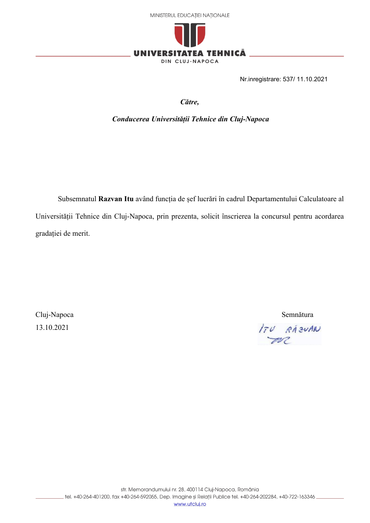



Nr.inregistrare: 537/ 11.10.2021

*Către,*

*Conducerea Universității Tehnice din Cluj-Napoca*

Subsemnatul **Razvan Itu** având funcția de șef lucrări în cadrul Departamentului Calculatoare al Universității Tehnice din Cluj-Napoca, prin prezenta, solicit înscrierea la concursul pentru acordarea gradației de merit.

Cluj-Napoca Semnătura 13.10.2021

ITU RÁZVAN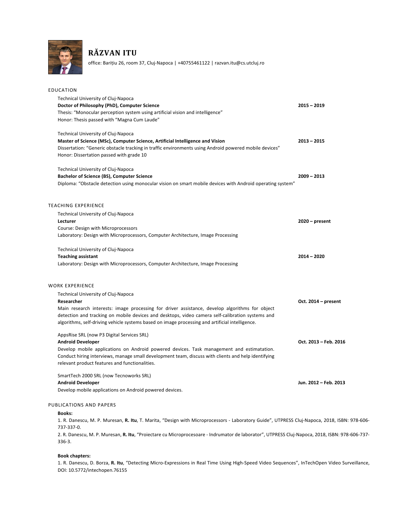

# **RĂZVAN ITU**

office: Barițiu 26, room 37, Cluj-Napoca | +40755461122 | razvan.itu@cs.utcluj.ro

| EDUCATION                                                                                                                                                                                                                                                                                                                                                  |                       |
|------------------------------------------------------------------------------------------------------------------------------------------------------------------------------------------------------------------------------------------------------------------------------------------------------------------------------------------------------------|-----------------------|
| Technical University of Cluj-Napoca<br>Doctor of Philosophy (PhD), Computer Science<br>Thesis: "Monocular perception system using artificial vision and intelligence"<br>Honor: Thesis passed with "Magna Cum Laude"                                                                                                                                       | $2015 - 2019$         |
| Technical University of Cluj-Napoca<br>Master of Science (MSc), Computer Science, Artificial Intelligence and Vision<br>Dissertation: "Generic obstacle tracking in traffic environments using Android powered mobile devices"<br>Honor: Dissertation passed with grade 10                                                                                 | $2013 - 2015$         |
| Technical University of Cluj-Napoca<br><b>Bachelor of Science (BS), Computer Science</b><br>Diploma: "Obstacle detection using monocular vision on smart mobile devices with Android operating system"                                                                                                                                                     | $2009 - 2013$         |
| <b>TEACHING EXPERIENCE</b>                                                                                                                                                                                                                                                                                                                                 |                       |
| Technical University of Cluj-Napoca<br>Lecturer<br>Course: Design with Microprocessors<br>Laboratory: Design with Microprocessors, Computer Architecture, Image Processing                                                                                                                                                                                 | $2020 - present$      |
| Technical University of Cluj-Napoca<br><b>Teaching assistant</b><br>Laboratory: Design with Microprocessors, Computer Architecture, Image Processing                                                                                                                                                                                                       | $2014 - 2020$         |
| WORK EXPERIENCE                                                                                                                                                                                                                                                                                                                                            |                       |
| Technical University of Cluj-Napoca<br>Researcher<br>Main research interests: image processing for driver assistance, develop algorithms for object<br>detection and tracking on mobile devices and desktops, video camera self-calibration systems and<br>algorithms, self-driving vehicle systems based on image processing and artificial intelligence. | Oct. 2014 - present   |
| AppsRise SRL (now P3 Digital Services SRL)<br><b>Android Developer</b><br>Develop mobile applications on Android powered devices. Task management and estimatation.<br>Conduct hiring interviews, manage small development team, discuss with clients and help identifying<br>relevant product features and functionalities.                               | Oct. 2013 - Feb. 2016 |
| SmartTech 2000 SRL (now Tecnoworks SRL)<br><b>Android Developer</b><br>Develop mobile applications on Android powered devices.                                                                                                                                                                                                                             | Jun. 2012 - Feb. 2013 |
|                                                                                                                                                                                                                                                                                                                                                            |                       |

#### PUBLICATIONS AND PAPERS

#### **Books:**

1. R. Danescu, M. P. Muresan, **R. Itu**, T. Marita, "Design with Microprocessors - Laboratory Guide", UTPRESS Cluj-Napoca, 2018, ISBN: 978-606- 737-337-0.

2. R. Danescu, M. P. Muresan, **R. Itu**, "Proiectare cu Microprocesoare - Indrumator de laborator", UTPRESS Cluj-Napoca, 2018, ISBN: 978-606-737- 336-3.

#### **Book chapters:**

1. R. Danescu, D. Borza, **R. Itu**, "Detecting Micro-Expressions in Real Time Using High-Speed Video Sequences", InTechOpen Video Surveillance, DOI: 10.5772/intechopen.76155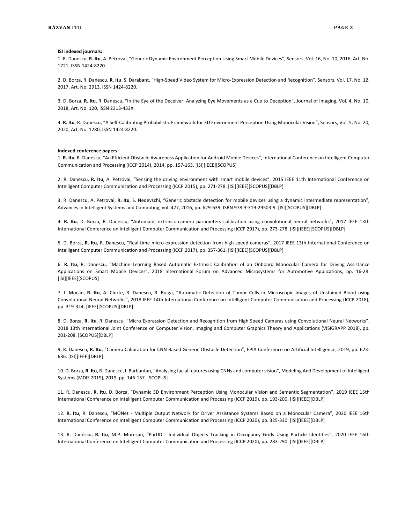#### **ISI indexed journals:**

1. R. Danescu, **R. Itu**, A. Petrovai, "Generic Dynamic Environment Perception Using Smart Mobile Devices", Sensors, Vol. 16, No. 10, 2016, Art. No. 1721, ISSN 1424-8220.

2. D. Borza, R. Danescu, **R. Itu**, S. Darabant, "High-Speed Video System for Micro-Expression Detection and Recognition", Sensors, Vol. 17, No. 12, 2017, Art. No. 2913, ISSN 1424-8220.

3. D. Borza, **R. Itu**, R. Danescu, "In the Eye of the Deceiver: Analyzing Eye Movements as a Cue to Deception", Journal of Imaging, Vol. 4, No. 10, 2018, Art. No. 120, ISSN 2313-433X.

4. **R. Itu**, R. Danescu, "A Self-Calibrating Probabilistic Framework for 3D Environment Perception Using Monocular Vision", Sensors, Vol. 5, No. 20, 2020, Art. No. 1280, ISSN 1424-8220.

#### **Indexed conference papers:**

1. **R. Itu**, R. Danescu, "An Efficient Obstacle Awareness Application for Android Mobile Devices", International Conference on Intelligent Computer Communication and Processing (ICCP 2014), 2014, pp. 157-163. [ISI][IEEE][SCOPUS]

2. R. Danescu, **R. Itu**, A. Petrovai, "Sensing the driving environment with smart mobile devices", 2015 IEEE 11th International Conference on Intelligent Computer Communication and Processing (ICCP 2015), pp. 271-278. [ISI][IEEE][SCOPUS][DBLP]

3. R. Danescu, A. Petrovai, **R. Itu**, S. Nedevschi, "Generic obstacle detection for mobile devices using a dynamic intermediate representation", Advances in Intelligent Systems and Computing, vol. 427, 2016, pp. 629-639, ISBN 978-3-319-29503-9. [ISI][SCOPUS][DBLP]

4. **R. Itu**, D. Borza, R. Danescu, "Automatic extrinsic camera parameters calibration using convolutional neural networks", 2017 IEEE 13th International Conference on Intelligent Computer Communication and Processing (ICCP 2017), pp. 273-278. [ISI][IEEE][SCOPUS][DBLP]

5. D. Borza, **R. Itu**, R. Danescu, "Real-time micro-expression detection from high speed cameras", 2017 IEEE 13th International Conference on Intelligent Computer Communication and Processing (ICCP 2017), pp. 357-361. [ISI][IEEE][SCOPUS][DBLP]

6. **R. Itu**, R. Danescu, "Machine Learning Based Automatic Extrinsic Calibration of an Onboard Monocular Camera for Driving Assistance Applications on Smart Mobile Devices", 2018 International Forum on Advanced Microsystems for Automotive Applications, pp. 16-28. [ISI][IEEE][SCOPUS]

7. I. Mocan, **R. Itu**, A. Ciurte, R. Danescu, R. Buiga, "Automatic Detection of Tumor Cells in Microscopic Images of Unstained Blood using Convolutional Neural Networks", 2018 IEEE 14th International Conference on Intelligent Computer Communication and Processing (ICCP 2018), pp. 319-324. [IEEE][SCOPUS][DBLP]

8. D. Borza, **R. Itu**, R. Danescu, "Micro Expression Detection and Recognition from High Speed Cameras using Convolutional Neural Networks", 2018 13th International Joint Conference on Computer Vision, Imaging and Computer Graphics Theory and Applications (VISIGRAPP 2018), pp. 201-208. [SCOPUS][DBLP]

9. R. Danescu, **R. Itu**, "Camera Calibration for CNN Based Generic Obstacle Detection", EPIA Conference on Artificial Intelligence, 2019, pp. 623- 636. [ISI][IEEE][DBLP]

10. D. Borza, **R. Itu**, R. Danescu, I. Barbantan, "Analysing facial features using CNNs and computer vision", Modeling And Development of Intelligent Systems (MDIS 2019), 2019, pp. 146-157. [SCOPUS]

11. R. Danescu, **R. Itu**, D. Borza, "Dynamic 3D Environment Perception Using Monocular Vision and Semantic Segmentation", 2019 IEEE 15th International Conference on Intelligent Computer Communication and Processing (ICCP 2019), pp. 193-200. [ISI][IEEE][DBLP]

12. **R. Itu**, R. Danescu, "MONet - Multiple Output Network for Driver Assistance Systems Based on a Monocular Camera", 2020 IEEE 16th International Conference on Intelligent Computer Communication and Processing (ICCP 2020), pp. 325-330. [ISI][IEEE][DBLP]

13. R. Danescu, **R. Itu**, M.P. Muresan, "PartID - Individual Objects Tracking in Occupancy Grids Using Particle Identities", 2020 IEEE 16th International Conference on Intelligent Computer Communication and Processing (ICCP 2020), pp. 283-290. [ISI][IEEE][DBLP]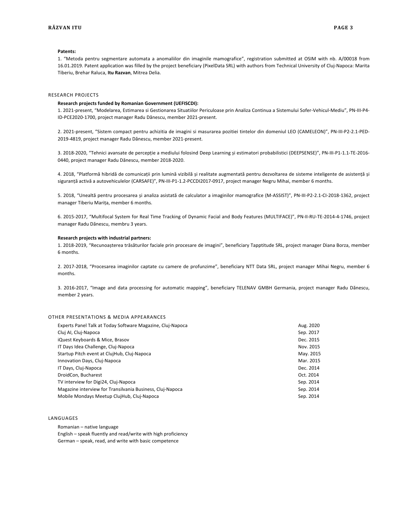#### **Patents:**

1. "Metoda pentru segmentare automata a anomaliilor din imaginile mamografice", registration submitted at OSIM with nb. A/00018 from 16.01.2019. Patent application was filled by the project beneficiary (PixelData SRL) with authors from Technical University of Cluj-Napoca: Marita Tiberiu, Brehar Raluca, **Itu Razvan**, Mitrea Delia.

#### RESEARCH PROJECTS

#### **Research projects funded by Romanian Government (UEFISCDI):**

1. 2021-present, "Modelarea, Estimarea si Gestionarea Situatiilor Periculoase prin Analiza Continua a Sistemului Sofer-Vehicul-Mediu", PN-III-P4- ID-PCE2020-1700, project manager Radu Dănescu, member 2021-present.

2. 2021-present, "Sistem compact pentru achizitia de imagini si masurarea pozitiei tintelor din domeniul LEO (CAMELEON)", PN-III-P2-2.1-PED-2019-4819, project manager Radu Dănescu, member 2021-present.

3. 2018-2020, "Tehnici avansate de percepție a mediului folosind Deep Learning și estimatori probabilistici (DEEPSENSE)", PN-III-P1-1.1-TE-2016- 0440, project manager Radu Dănescu, member 2018-2020.

4. 2018, "Platformă hibridă de comunicații prin lumină vizibilă și realitate augmentată pentru dezvoltarea de sisteme inteligente de asistență și siguranță activă a autovehiculelor (CARSAFE)", PN-III-P1-1.2-PCCDI2017-0917, project manager Negru Mihai, member 6 months.

5. 2018, "Unealtă pentru procesarea și analiza asistată de calculator a imaginilor mamografice (M-ASSIST)", PN-III-P2-2.1-CI-2018-1362, project manager Tiberiu Marița, member 6 months.

6. 2015-2017, "Multifocal System for Real Time Tracking of Dynamic Facial and Body Features (MULTIFACE)", PN-II-RU-TE-2014-4-1746, project manager Radu Dănescu, membru 3 years.

#### **Research projects with industrial partners:**

1. 2018-2019, "Recunoașterea trăsăturilor faciale prin procesare de imagini", beneficiary Tapptitude SRL, project manager Diana Borza, member 6 months.

2. 2017-2018, "Procesarea imaginilor captate cu camere de profunzime", beneficiary NTT Data SRL, project manager Mihai Negru, member 6 months.

3. 2016-2017, "Image and data processing for automatic mapping", beneficiary TELENAV GMBH Germania, project manager Radu Dănescu, member 2 years.

#### OTHER PRESENTATIONS & MEDIA APPEARANCES

| Experts Panel Talk at Today Software Magazine, Cluj-Napoca | Aug. 2020 |
|------------------------------------------------------------|-----------|
| Cluj AI, Cluj-Napoca                                       | Sep. 2017 |
| iQuest Keyboards & Mice, Brasov                            | Dec. 2015 |
| IT Days Idea Challenge, Cluj-Napoca                        | Nov. 2015 |
| Startup Pitch event at CluiHub, Clui-Napoca                | May. 2015 |
| Innovation Days, Cluj-Napoca                               | Mar. 2015 |
| IT Days, Cluj-Napoca                                       | Dec. 2014 |
| DroidCon, Bucharest                                        | Oct. 2014 |
| TV interview for Digi24, Cluj-Napoca                       | Sep. 2014 |
| Magazine interview for Transilvania Business, Cluj-Napoca  | Sep. 2014 |
| Mobile Mondays Meetup CluiHub, Clui-Napoca                 | Sep. 2014 |

#### LANGUAGES

Romanian – native language

English – speak fluently and read/write with high proficiency German – speak, read, and write with basic competence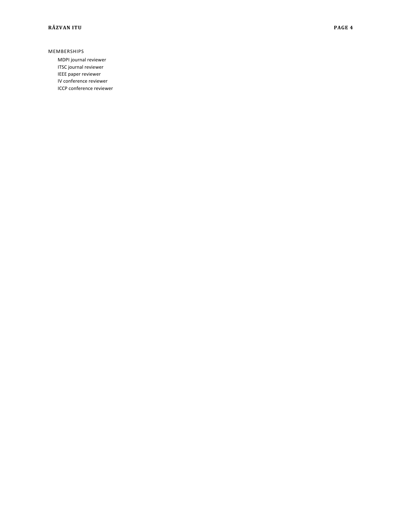#### MEMBERSHIPS

MDPI journal reviewer ITSC journal reviewer IEEE paper reviewer IV conference reviewer ICCP conference reviewer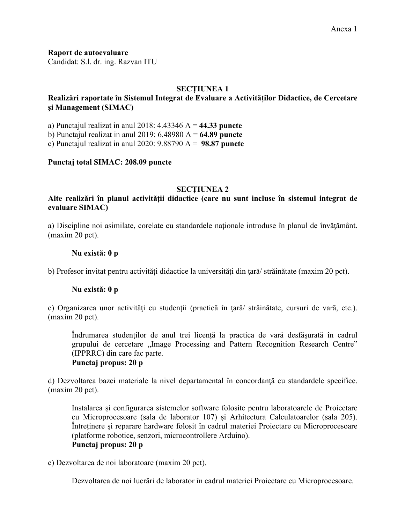**Raport de autoevaluare**

Candidat: S.l. dr. ing. Razvan ITU

## **SECŢIUNEA 1**

## **Realizări raportate în Sistemul Integrat de Evaluare a Activităților Didactice, de Cercetare şi Management (SIMAC)**

a) Punctajul realizat in anul 2018: 4.43346 A = **44.33 puncte**

b) Punctajul realizat in anul 2019: 6.48980 A = **64.89 puncte**

c) Punctajul realizat in anul 2020: 9.88790 A = **98.87 puncte**

### **Punctaj total SIMAC: 208.09 puncte**

### **SECŢIUNEA 2**

### **Alte realizări în planul activității didactice (care nu sunt incluse în sistemul integrat de evaluare SIMAC)**

a) Discipline noi asimilate, corelate cu standardele naționale introduse în planul de învăţământ. (maxim 20 pct).

### **Nu există: 0 p**

b) Profesor invitat pentru activități didactice la universităţi din ţară/ străinătate (maxim 20 pct).

#### **Nu există: 0 p**

c) Organizarea unor activități cu studenții (practică în țară/ străinătate, cursuri de vară, etc.). (maxim 20 pct).

Îndrumarea studenților de anul trei licență la practica de vară desfășurată în cadrul grupului de cercetare "Image Processing and Pattern Recognition Research Centre" (IPPRRC) din care fac parte.

## **Punctaj propus: 20 p**

d) Dezvoltarea bazei materiale la nivel departamental în concordanţă cu standardele specifice. (maxim 20 pct).

Instalarea și configurarea sistemelor software folosite pentru laboratoarele de Proiectare cu Microprocesoare (sala de laborator 107) și Arhitectura Calculatoarelor (sala 205). Întreținere și reparare hardware folosit în cadrul materiei Proiectare cu Microprocesoare (platforme robotice, senzori, microcontrollere Arduino). **Punctaj propus: 20 p**

e) Dezvoltarea de noi laboratoare (maxim 20 pct).

Dezvoltarea de noi lucrări de laborator în cadrul materiei Proiectare cu Microprocesoare.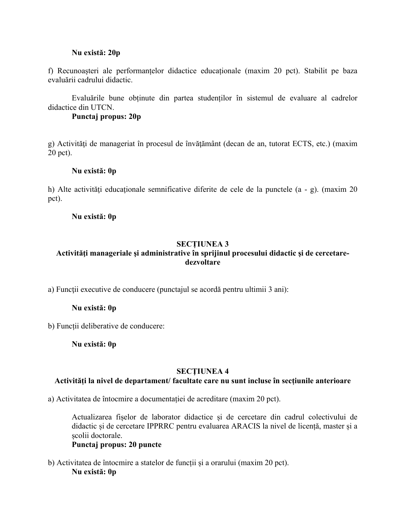### **Nu există: 20p**

f) Recunoașteri ale performanțelor didactice educaționale (maxim 20 pct). Stabilit pe baza evaluării cadrului didactic.

Evaluările bune obținute din partea studenților în sistemul de evaluare al cadrelor didactice din UTCN.

### **Punctaj propus: 20p**

g) Activităţi de manageriat în procesul de învăţământ (decan de an, tutorat ECTS, etc.) (maxim 20 pct).

### **Nu există: 0p**

h) Alte activități educaționale semnificative diferite de cele de la punctele (a - g). (maxim 20 pct).

### **Nu există: 0p**

### **SECȚIUNEA 3**

## **Activităţi manageriale şi administrative în sprijinul procesului didactic şi de cercetaredezvoltare**

a) Funcţii executive de conducere (punctajul se acordă pentru ultimii 3 ani):

### **Nu există: 0p**

b) Funcții deliberative de conducere:

**Nu există: 0p**

#### **SECŢIUNEA 4**

### **Activități la nivel de departament/ facultate care nu sunt incluse în secțiunile anterioare**

a) Activitatea de întocmire a documentației de acreditare (maxim 20 pct).

Actualizarea fișelor de laborator didactice și de cercetare din cadrul colectivului de didactic și de cercetare IPPRRC pentru evaluarea ARACIS la nivel de licență, master și a școlii doctorale.

#### **Punctaj propus: 20 puncte**

b) Activitatea de întocmire a statelor de funcții și a orarului (maxim 20 pct). **Nu există: 0p**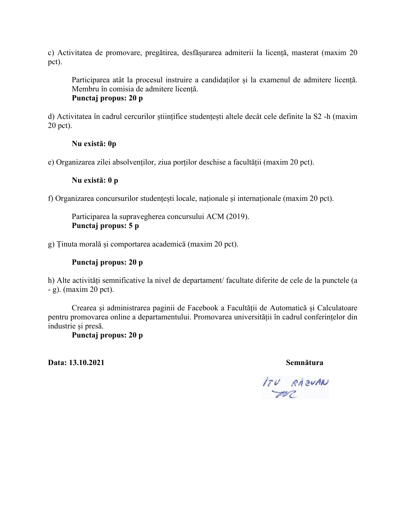c) Activitatea de promovare, pregătirea, desfășurarea admiterii la licență, masterat (maxim 20 pct).

Participarea atât la procesul instruire a candidaților și la examenul de admitere licență. Membru în comisia de admitere licență. **Punctaj propus: 20 p**

d) Activitatea în cadrul cercurilor științifice studențești altele decât cele definite la S2 -h (maxim 20 pct).

### **Nu există: 0p**

e) Organizarea zilei absolvenților, ziua porților deschise a facultății (maxim 20 pct).

### **Nu există: 0 p**

f) Organizarea concursurilor studențești locale, naționale și internaționale (maxim 20 pct).

Participarea la supravegherea concursului ACM (2019). **Punctaj propus: 5 p**

g) Ținuta morală și comportarea academică (maxim 20 pct).

## **Punctaj propus: 20 p**

h) Alte activități semnificative la nivel de departament/ facultate diferite de cele de la punctele (a - g). (maxim 20 pct).

Crearea și administrarea paginii de Facebook a Facultății de Automatică și Calculatoare pentru promovarea online a departamentului. Promovarea universității în cadrul conferințelor din industrie și presă.

**Punctaj propus: 20 p**

**Data: 13.10.2021 Semnătura**

ITU RAZUAN  $\rightarrow$